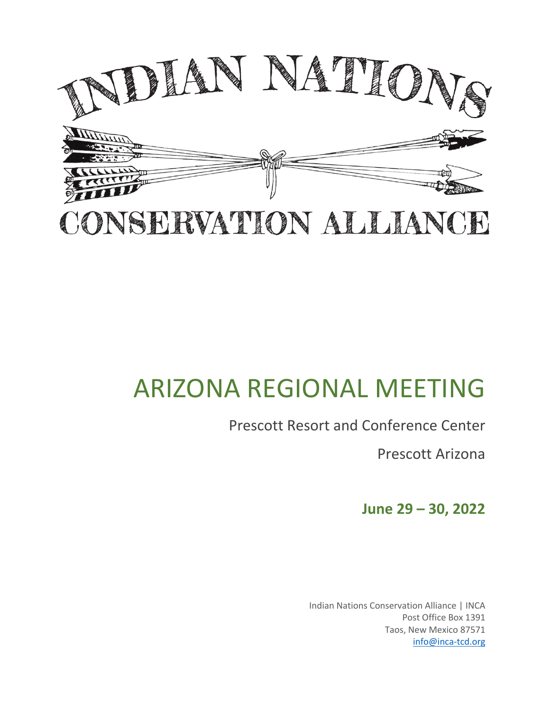

# CONSERVATION ALLIANCE

# ARIZONA REGIONAL MEETING

# Prescott Resort and Conference Center

Prescott Arizona

**June 29 – 30, 2022**

Indian Nations Conservation Alliance | INCA Post Office Box 1391 Taos, New Mexico 87571 info@inca-tcd.org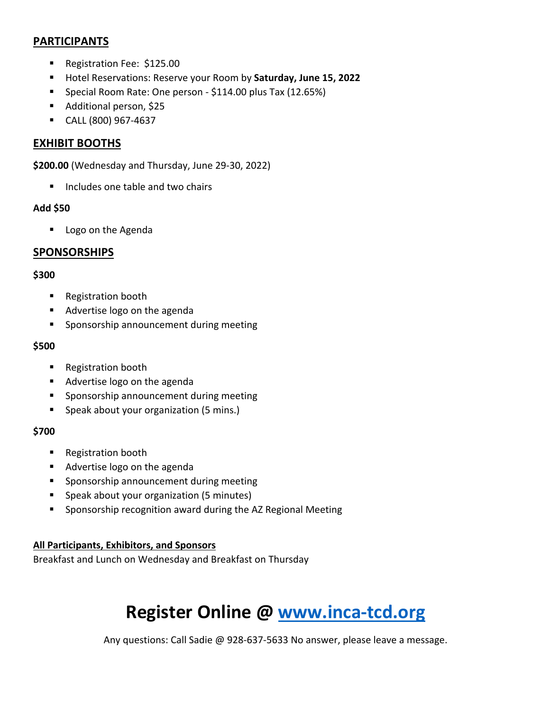### **PARTICIPANTS**

- Registration Fee: \$125.00
- § Hotel Reservations: Reserve your Room by **Saturday, June 15, 2022**
- Special Room Rate: One person \$114.00 plus Tax (12.65%)
- Additional person, \$25
- § CALL (800) 967-4637

# **EXHIBIT BOOTHS**

**\$200.00** (Wednesday and Thursday, June 29-30, 2022)

■ Includes one table and two chairs

#### **Add \$50**

■ Logo on the Agenda

## **SPONSORSHIPS**

#### **\$300**

- Registration booth
- Advertise logo on the agenda
- Sponsorship announcement during meeting

#### **\$500**

- Registration booth
- Advertise logo on the agenda
- Sponsorship announcement during meeting
- Speak about your organization (5 mins.)

#### **\$700**

- Registration booth
- Advertise logo on the agenda
- Sponsorship announcement during meeting
- Speak about your organization (5 minutes)
- Sponsorship recognition award during the AZ Regional Meeting

### **All Participants, Exhibitors, and Sponsors**

Breakfast and Lunch on Wednesday and Breakfast on Thursday

# **Register Online @ www.inca-tcd.org**

Any questions: Call Sadie @ 928-637-5633 No answer, please leave a message.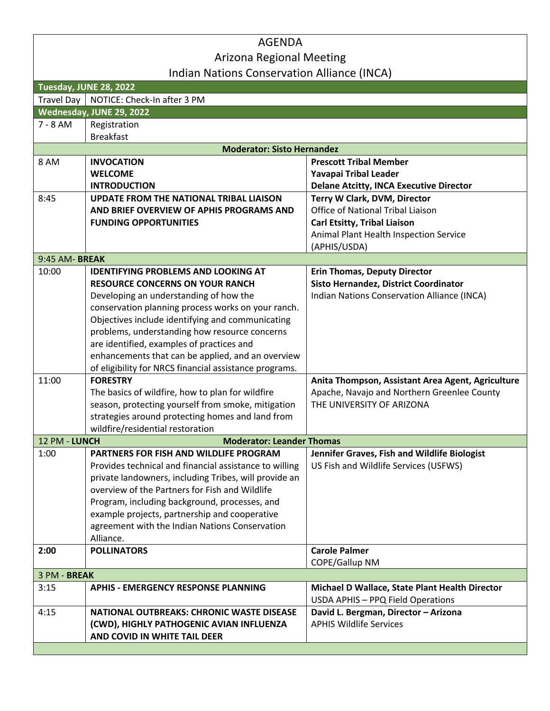# AGENDA Arizona Regional Meeting Indian Nations Conservation Alliance (INCA)

|                   | $\frac{1}{2}$                                          |                                                                                     |
|-------------------|--------------------------------------------------------|-------------------------------------------------------------------------------------|
|                   | Tuesday, JUNE 28, 2022                                 |                                                                                     |
| <b>Travel Day</b> | NOTICE: Check-In after 3 PM                            |                                                                                     |
|                   | Wednesday, JUNE 29, 2022                               |                                                                                     |
| $7 - 8$ AM        | Registration                                           |                                                                                     |
|                   | <b>Breakfast</b>                                       |                                                                                     |
|                   | <b>Moderator: Sisto Hernandez</b>                      |                                                                                     |
| 8 AM              | <b>INVOCATION</b>                                      | <b>Prescott Tribal Member</b>                                                       |
|                   | <b>WELCOME</b>                                         | Yavapai Tribal Leader                                                               |
|                   | <b>INTRODUCTION</b>                                    | <b>Delane Atcitty, INCA Executive Director</b>                                      |
| 8:45              | <b>UPDATE FROM THE NATIONAL TRIBAL LIAISON</b>         | Terry W Clark, DVM, Director                                                        |
|                   | AND BRIEF OVERVIEW OF APHIS PROGRAMS AND               | Office of National Tribal Liaison                                                   |
|                   | <b>FUNDING OPPORTUNITIES</b>                           | Carl Etsitty, Tribal Liaison                                                        |
|                   |                                                        | Animal Plant Health Inspection Service                                              |
|                   |                                                        | (APHIS/USDA)                                                                        |
| 9:45 AM-BREAK     |                                                        |                                                                                     |
| 10:00             | <b>IDENTIFYING PROBLEMS AND LOOKING AT</b>             | <b>Erin Thomas, Deputy Director</b>                                                 |
|                   | <b>RESOURCE CONCERNS ON YOUR RANCH</b>                 | <b>Sisto Hernandez, District Coordinator</b>                                        |
|                   | Developing an understanding of how the                 | Indian Nations Conservation Alliance (INCA)                                         |
|                   | conservation planning process works on your ranch.     |                                                                                     |
|                   | Objectives include identifying and communicating       |                                                                                     |
|                   | problems, understanding how resource concerns          |                                                                                     |
|                   | are identified, examples of practices and              |                                                                                     |
|                   | enhancements that can be applied, and an overview      |                                                                                     |
|                   | of eligibility for NRCS financial assistance programs. |                                                                                     |
| 11:00             | <b>FORESTRY</b>                                        | Anita Thompson, Assistant Area Agent, Agriculture                                   |
|                   | The basics of wildfire, how to plan for wildfire       | Apache, Navajo and Northern Greenlee County                                         |
|                   | season, protecting yourself from smoke, mitigation     | THE UNIVERSITY OF ARIZONA                                                           |
|                   | strategies around protecting homes and land from       |                                                                                     |
|                   | wildfire/residential restoration                       |                                                                                     |
| 12 PM - LUNCH     | <b>Moderator: Leander Thomas</b>                       |                                                                                     |
| 1:00              | PARTNERS FOR FISH AND WILDLIFE PROGRAM                 | Jennifer Graves, Fish and Wildlife Biologist                                        |
|                   | Provides technical and financial assistance to willing | US Fish and Wildlife Services (USFWS)                                               |
|                   | private landowners, including Tribes, will provide an  |                                                                                     |
|                   | overview of the Partners for Fish and Wildlife         |                                                                                     |
|                   | Program, including background, processes, and          |                                                                                     |
|                   | example projects, partnership and cooperative          |                                                                                     |
|                   | agreement with the Indian Nations Conservation         |                                                                                     |
|                   | Alliance.                                              |                                                                                     |
| 2:00              | <b>POLLINATORS</b>                                     | <b>Carole Palmer</b>                                                                |
|                   |                                                        | COPE/Gallup NM                                                                      |
| 3 PM - BREAK      |                                                        |                                                                                     |
| 3:15              | <b>APHIS - EMERGENCY RESPONSE PLANNING</b>             | Michael D Wallace, State Plant Health Director<br>USDA APHIS - PPQ Field Operations |
| 4:15              | <b>NATIONAL OUTBREAKS: CHRONIC WASTE DISEASE</b>       | David L. Bergman, Director - Arizona                                                |
|                   | (CWD), HIGHLY PATHOGENIC AVIAN INFLUENZA               | <b>APHIS Wildlife Services</b>                                                      |
|                   | AND COVID IN WHITE TAIL DEER                           |                                                                                     |
|                   |                                                        |                                                                                     |